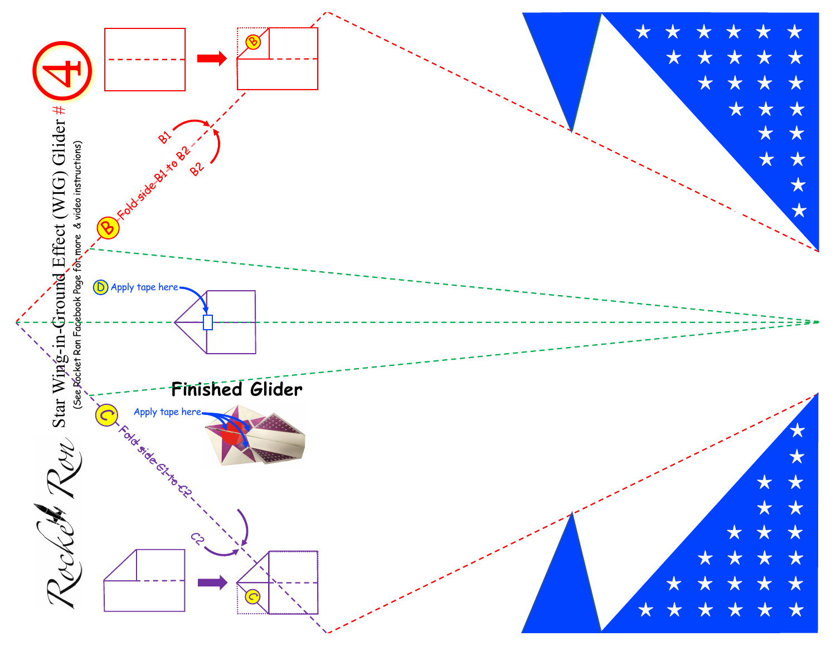